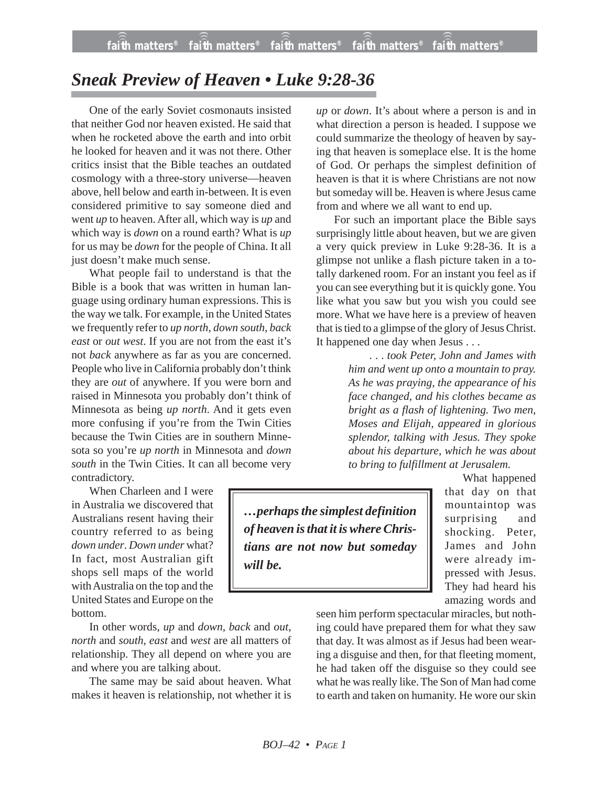## *Sneak Preview of Heaven • Luke 9:28-36*

One of the early Soviet cosmonauts insisted that neither God nor heaven existed. He said that when he rocketed above the earth and into orbit he looked for heaven and it was not there. Other critics insist that the Bible teaches an outdated cosmology with a three-story universe—heaven above, hell below and earth in-between. It is even considered primitive to say someone died and went *up* to heaven. After all, which way is *up* and which way is *down* on a round earth? What is *up* for us may be *down* for the people of China. It all just doesn't make much sense.

What people fail to understand is that the Bible is a book that was written in human language using ordinary human expressions. This is the way we talk. For example, in the United States we frequently refer to *up north*, *down south*, *back east* or *out west*. If you are not from the east it's not *back* anywhere as far as you are concerned. People who live in California probably don't think they are *out* of anywhere. If you were born and raised in Minnesota you probably don't think of Minnesota as being *up north*. And it gets even more confusing if you're from the Twin Cities because the Twin Cities are in southern Minnesota so you're *up north* in Minnesota and *down south* in the Twin Cities. It can all become very contradictory.

When Charleen and I were in Australia we discovered that Australians resent having their country referred to as being *down under*. *Down under* what? In fact, most Australian gift shops sell maps of the world with Australia on the top and the United States and Europe on the bottom.

In other words, *up* and *down*, *back* and *out*, *north* and *south*, *east* and *west* are all matters of relationship. They all depend on where you are and where you are talking about.

The same may be said about heaven. What makes it heaven is relationship, not whether it is *up* or *down*. It's about where a person is and in what direction a person is headed. I suppose we could summarize the theology of heaven by saying that heaven is someplace else. It is the home of God. Or perhaps the simplest definition of heaven is that it is where Christians are not now but someday will be. Heaven is where Jesus came from and where we all want to end up.

For such an important place the Bible says surprisingly little about heaven, but we are given a very quick preview in Luke 9:28-36. It is a glimpse not unlike a flash picture taken in a totally darkened room. For an instant you feel as if you can see everything but it is quickly gone. You like what you saw but you wish you could see more. What we have here is a preview of heaven that is tied to a glimpse of the glory of Jesus Christ. It happened one day when Jesus . . .

> . . . *took Peter, John and James with him and went up onto a mountain to pray. As he was praying, the appearance of his face changed, and his clothes became as bright as a flash of lightening. Two men, Moses and Elijah, appeared in glorious splendor, talking with Jesus. They spoke about his departure, which he was about to bring to fulfillment at Jerusalem.*

*…perhaps the simplest definition of heaven is that it is where Christians are not now but someday will be.*

What happened that day on that mountaintop was surprising and shocking. Peter, James and John were already impressed with Jesus. They had heard his amazing words and

seen him perform spectacular miracles, but nothing could have prepared them for what they saw that day. It was almost as if Jesus had been wearing a disguise and then, for that fleeting moment, he had taken off the disguise so they could see what he was really like. The Son of Man had come to earth and taken on humanity. He wore our skin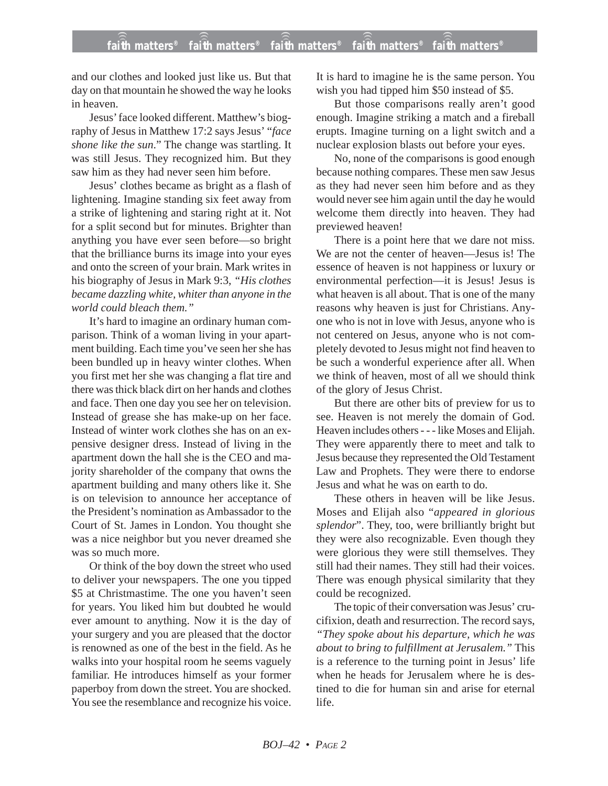and our clothes and looked just like us. But that day on that mountain he showed the way he looks in heaven.

Jesus' face looked different. Matthew's biography of Jesus in Matthew 17:2 says Jesus' "*face shone like the sun*." The change was startling. It was still Jesus. They recognized him. But they saw him as they had never seen him before.

Jesus' clothes became as bright as a flash of lightening. Imagine standing six feet away from a strike of lightening and staring right at it. Not for a split second but for minutes. Brighter than anything you have ever seen before—so bright that the brilliance burns its image into your eyes and onto the screen of your brain. Mark writes in his biography of Jesus in Mark 9:3, *"His clothes became dazzling white, whiter than anyone in the world could bleach them."*

It's hard to imagine an ordinary human comparison. Think of a woman living in your apartment building. Each time you've seen her she has been bundled up in heavy winter clothes. When you first met her she was changing a flat tire and there was thick black dirt on her hands and clothes and face. Then one day you see her on television. Instead of grease she has make-up on her face. Instead of winter work clothes she has on an expensive designer dress. Instead of living in the apartment down the hall she is the CEO and majority shareholder of the company that owns the apartment building and many others like it. She is on television to announce her acceptance of the President's nomination as Ambassador to the Court of St. James in London. You thought she was a nice neighbor but you never dreamed she was so much more.

Or think of the boy down the street who used to deliver your newspapers. The one you tipped \$5 at Christmastime. The one you haven't seen for years. You liked him but doubted he would ever amount to anything. Now it is the day of your surgery and you are pleased that the doctor is renowned as one of the best in the field. As he walks into your hospital room he seems vaguely familiar. He introduces himself as your former paperboy from down the street. You are shocked. You see the resemblance and recognize his voice. It is hard to imagine he is the same person. You wish you had tipped him \$50 instead of \$5.

But those comparisons really aren't good enough. Imagine striking a match and a fireball erupts. Imagine turning on a light switch and a nuclear explosion blasts out before your eyes.

No, none of the comparisons is good enough because nothing compares. These men saw Jesus as they had never seen him before and as they would never see him again until the day he would welcome them directly into heaven. They had previewed heaven!

There is a point here that we dare not miss. We are not the center of heaven—Jesus is! The essence of heaven is not happiness or luxury or environmental perfection—it is Jesus! Jesus is what heaven is all about. That is one of the many reasons why heaven is just for Christians. Anyone who is not in love with Jesus, anyone who is not centered on Jesus, anyone who is not completely devoted to Jesus might not find heaven to be such a wonderful experience after all. When we think of heaven, most of all we should think of the glory of Jesus Christ.

But there are other bits of preview for us to see. Heaven is not merely the domain of God. Heaven includes others - - - like Moses and Elijah. They were apparently there to meet and talk to Jesus because they represented the Old Testament Law and Prophets. They were there to endorse Jesus and what he was on earth to do.

These others in heaven will be like Jesus. Moses and Elijah also "*appeared in glorious splendor*". They, too, were brilliantly bright but they were also recognizable. Even though they were glorious they were still themselves. They still had their names. They still had their voices. There was enough physical similarity that they could be recognized.

The topic of their conversation was Jesus' crucifixion, death and resurrection. The record says, *"They spoke about his departure, which he was about to bring to fulfillment at Jerusalem."* This is a reference to the turning point in Jesus' life when he heads for Jerusalem where he is destined to die for human sin and arise for eternal life.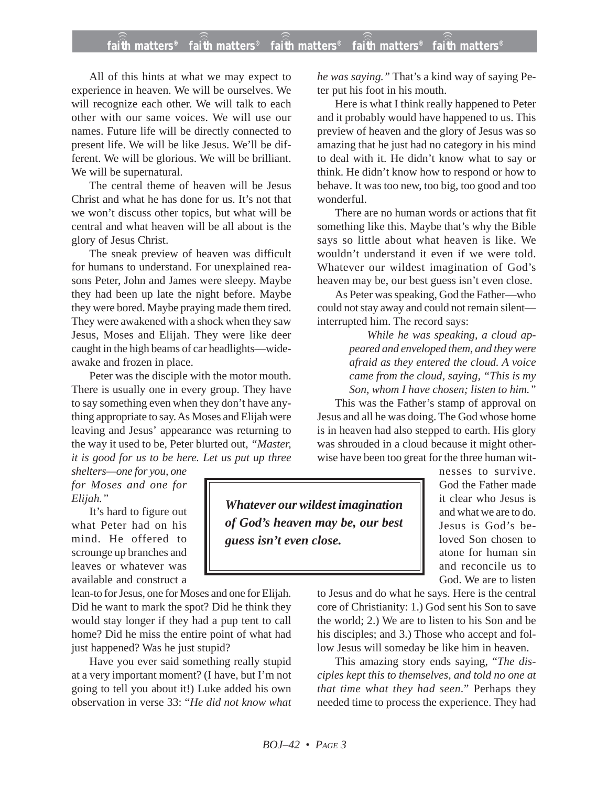## **faith matters® faith matters® faith matters® faith matters® faith matters®** ))) ))) ))) ))) )))

All of this hints at what we may expect to experience in heaven. We will be ourselves. We will recognize each other. We will talk to each other with our same voices. We will use our names. Future life will be directly connected to present life. We will be like Jesus. We'll be different. We will be glorious. We will be brilliant. We will be supernatural.

The central theme of heaven will be Jesus Christ and what he has done for us. It's not that we won't discuss other topics, but what will be central and what heaven will be all about is the glory of Jesus Christ.

The sneak preview of heaven was difficult for humans to understand. For unexplained reasons Peter, John and James were sleepy. Maybe they had been up late the night before. Maybe they were bored. Maybe praying made them tired. They were awakened with a shock when they saw Jesus, Moses and Elijah. They were like deer caught in the high beams of car headlights—wideawake and frozen in place.

Peter was the disciple with the motor mouth. There is usually one in every group. They have to say something even when they don't have anything appropriate to say. As Moses and Elijah were leaving and Jesus' appearance was returning to the way it used to be, Peter blurted out, *"Master, it is good for us to be here. Let us put up three*

*shelters—one for you, one for Moses and one for Elijah."*

It's hard to figure out what Peter had on his mind. He offered to scrounge up branches and leaves or whatever was available and construct a

lean-to for Jesus, one for Moses and one for Elijah. Did he want to mark the spot? Did he think they would stay longer if they had a pup tent to call home? Did he miss the entire point of what had just happened? Was he just stupid?

Have you ever said something really stupid at a very important moment? (I have, but I'm not going to tell you about it!) Luke added his own observation in verse 33: "*He did not know what* *he was saying."* That's a kind way of saying Peter put his foot in his mouth.

Here is what I think really happened to Peter and it probably would have happened to us. This preview of heaven and the glory of Jesus was so amazing that he just had no category in his mind to deal with it. He didn't know what to say or think. He didn't know how to respond or how to behave. It was too new, too big, too good and too wonderful.

There are no human words or actions that fit something like this. Maybe that's why the Bible says so little about what heaven is like. We wouldn't understand it even if we were told. Whatever our wildest imagination of God's heaven may be, our best guess isn't even close.

As Peter was speaking, God the Father—who could not stay away and could not remain silent interrupted him. The record says:

> *While he was speaking, a cloud appeared and enveloped them, and they were afraid as they entered the cloud. A voice came from the cloud, saying, "This is my Son, whom I have chosen; listen to him."*

This was the Father's stamp of approval on Jesus and all he was doing. The God whose home is in heaven had also stepped to earth. His glory was shrouded in a cloud because it might otherwise have been too great for the three human wit-

*Whatever our wildest imagination of God's heaven may be, our best guess isn't even close.*

nesses to survive. God the Father made it clear who Jesus is and what we are to do. Jesus is God's beloved Son chosen to atone for human sin and reconcile us to God. We are to listen

to Jesus and do what he says. Here is the central core of Christianity: 1.) God sent his Son to save the world; 2.) We are to listen to his Son and be his disciples; and 3.) Those who accept and follow Jesus will someday be like him in heaven.

This amazing story ends saying, "*The disciples kept this to themselves, and told no one at that time what they had seen*." Perhaps they needed time to process the experience. They had